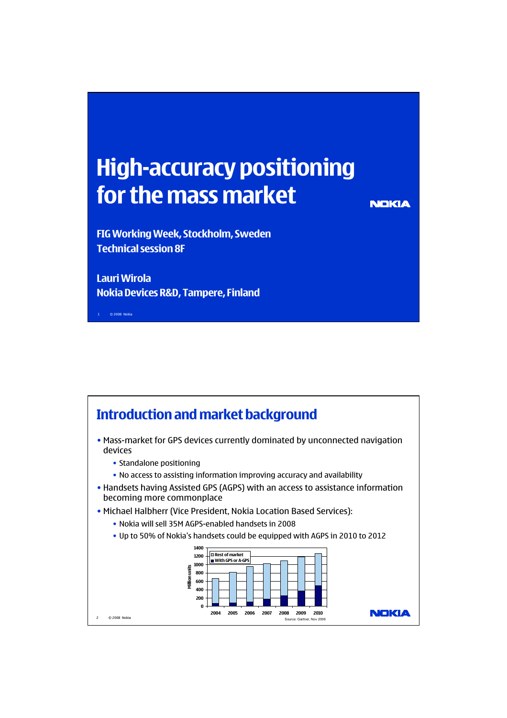## **High-accuracy positioning for the mass market**

**NEKIA** 

**FIG Working Week, Stockholm, Sweden Technical session 8F**

**Lauri Wirola Nokia Devices R&D, Tampere, Finland**

1 © 2008 Nokia

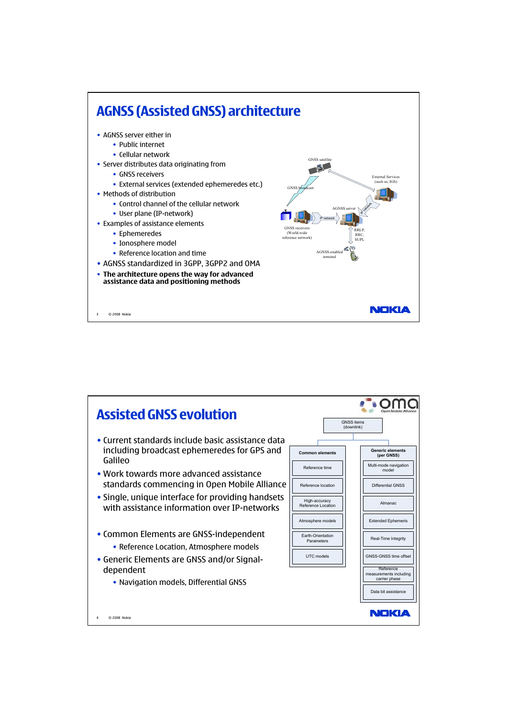

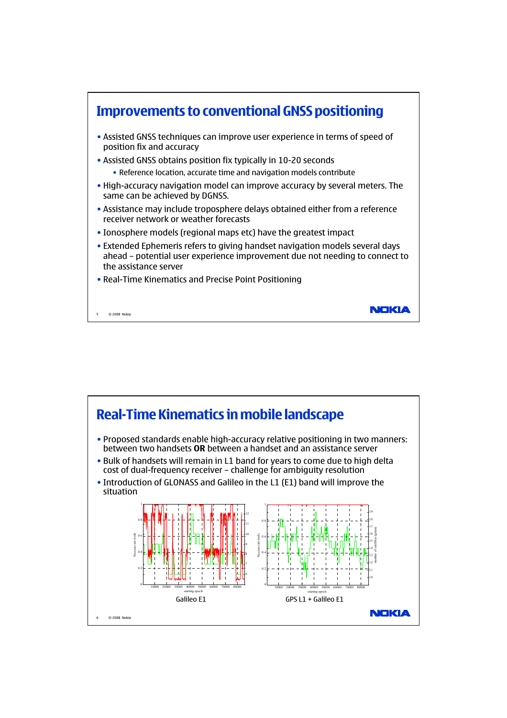

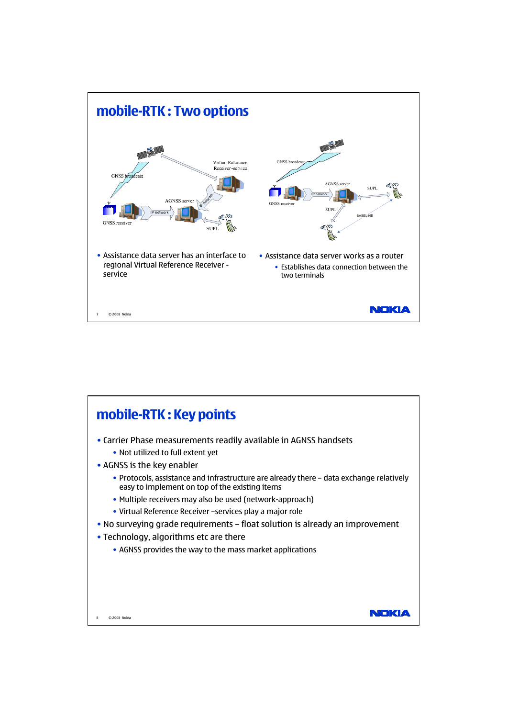

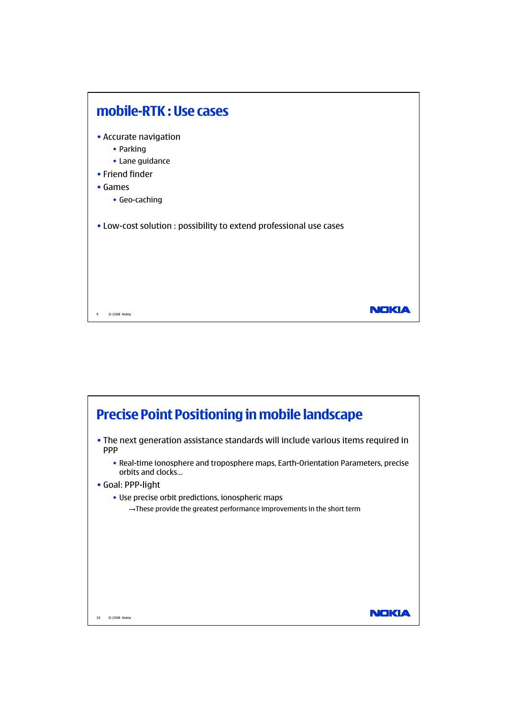